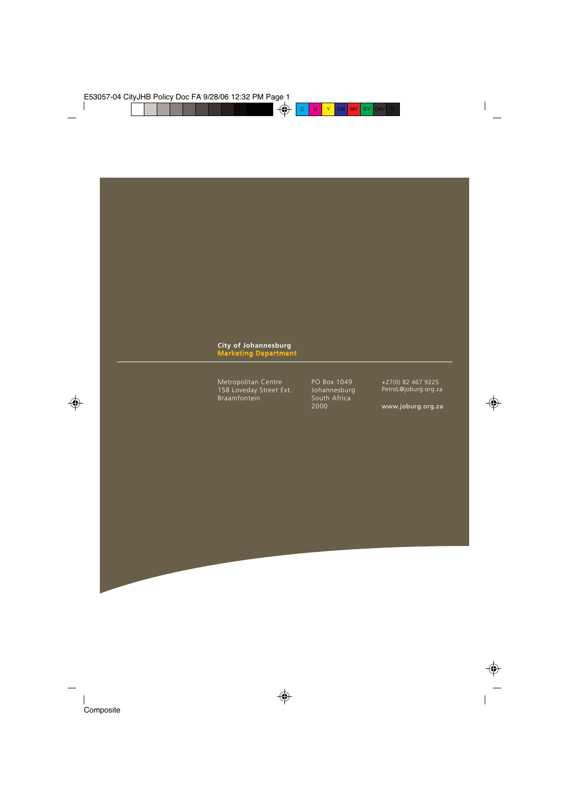

 $\begin{array}{c} \hline \end{array}$ **Composite**   $\bigoplus$ 

 $\overline{1}$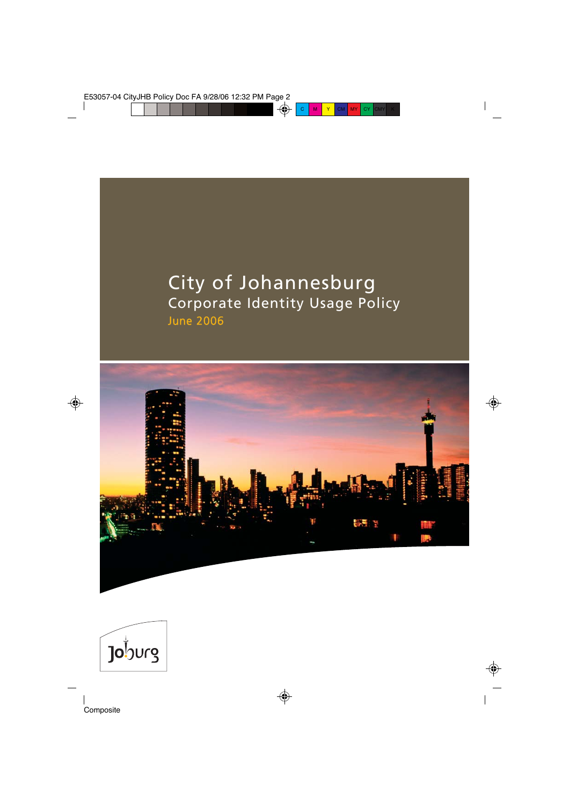

## City of Johannesburg Corporate Identity Usage Policy June 2006



◈



Composite

 $\overline{\phantom{a}}$ 

 $\mathbb{L}$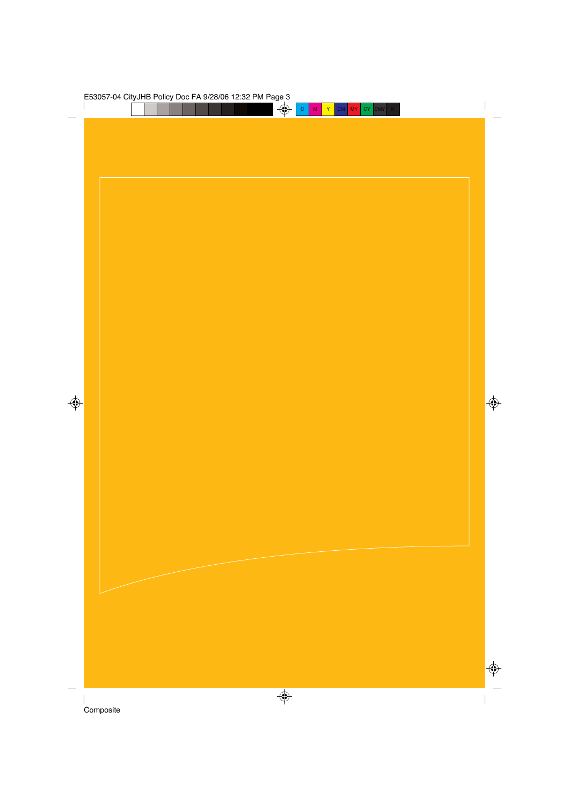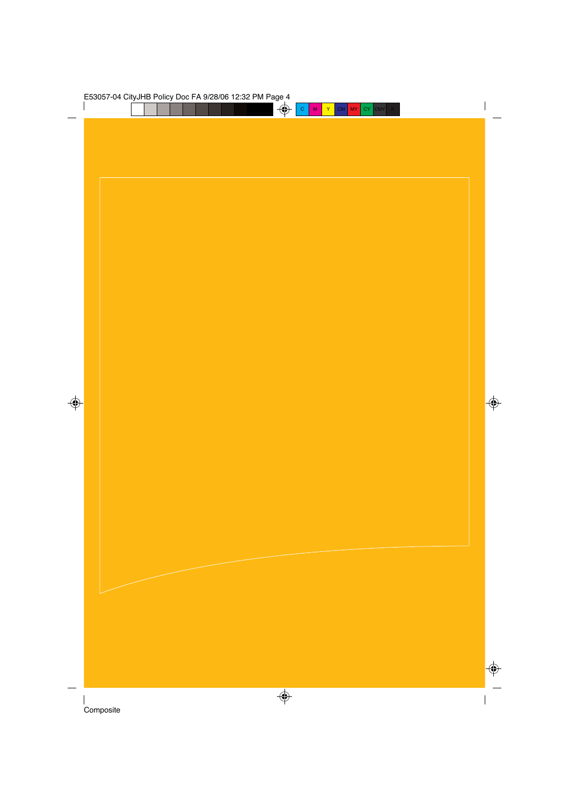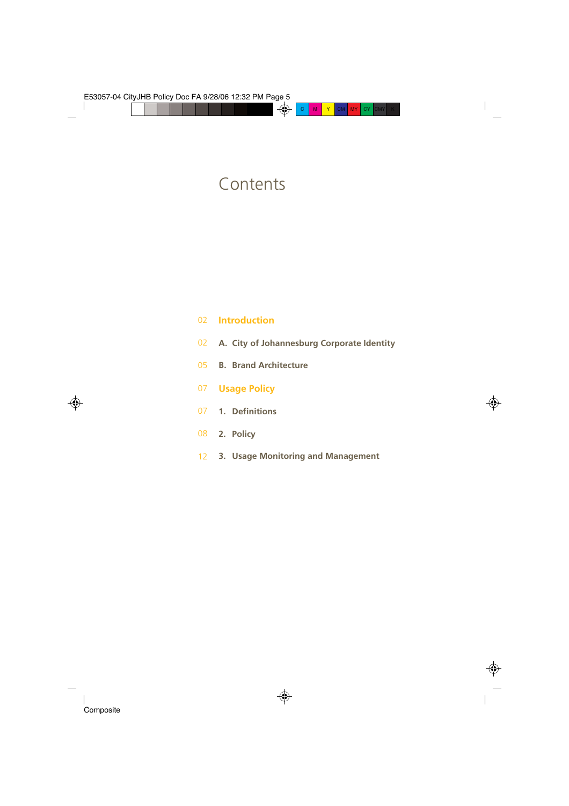| E53057-04 CityJHB Policy Doc FA 9/28/06 12:32 PM Page 5 |  |  |  |  |             |  |  |  |  |  |  |  |
|---------------------------------------------------------|--|--|--|--|-------------|--|--|--|--|--|--|--|
|                                                         |  |  |  |  | $\bigoplus$ |  |  |  |  |  |  |  |
|                                                         |  |  |  |  |             |  |  |  |  |  |  |  |

# Contents

|    | 02 Introduction                            |
|----|--------------------------------------------|
| 02 | A. City of Johannesburg Corporate Identity |
|    | 05 B. Brand Architecture                   |
|    | 07 Usage Policy                            |
|    | 07 1. Definitions                          |
|    | 08 2. Policy                               |
| 12 | 3. Usage Monitoring and Management         |

 $\bigoplus$ 

 $\bigoplus$ 

 $\color{red}\blacklozenge$ 

 $\overline{1}$ 



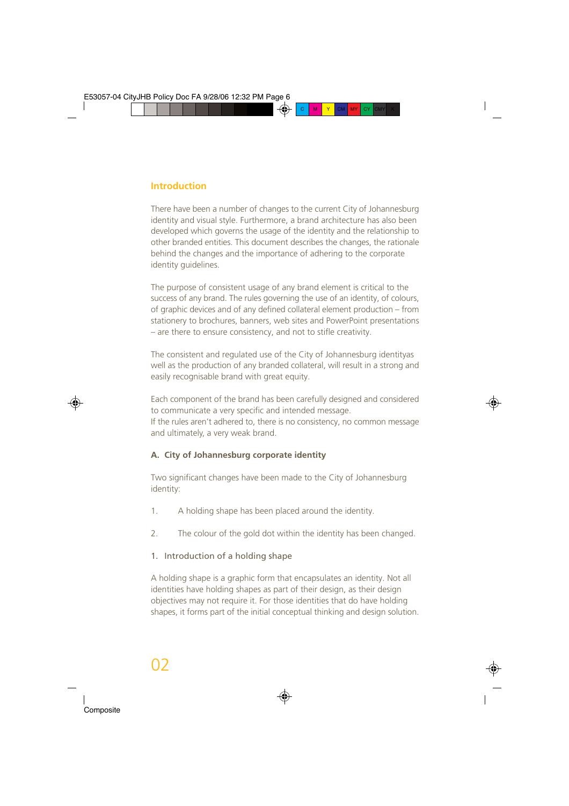## **Introduction**

There have been a number of changes to the current City of Johannesburg identity and visual style. Furthermore, a brand architecture has also been developed which governs the usage of the identity and the relationship to other branded entities. This document describes the changes, the rationale behind the changes and the importance of adhering to the corporate identity guidelines.

⊕

C M Y CM MY CY CMY K

 $\overline{\phantom{a}}$ 

The purpose of consistent usage of any brand element is critical to the success of any brand. The rules governing the use of an identity, of colours, of graphic devices and of any defined collateral element production – from stationery to brochures, banners, web sites and PowerPoint presentations – are there to ensure consistency, and not to stifle creativity.

The consistent and regulated use of the City of Johannesburg identityas well as the production of any branded collateral, will result in a strong and easily recognisable brand with great equity.

Each component of the brand has been carefully designed and considered to communicate a very specific and intended message. If the rules aren't adhered to, there is no consistency, no common message and ultimately, a very weak brand.

## **A. City of Johannesburg corporate identity**

Two significant changes have been made to the City of Johannesburg identity:

- 1. A holding shape has been placed around the identity.
- 2. The colour of the gold dot within the identity has been changed.

#### 1. Introduction of a holding shape

A holding shape is a graphic form that encapsulates an identity. Not all identities have holding shapes as part of their design, as their design objectives may not require it. For those identities that do have holding shapes, it forms part of the initial conceptual thinking and design solution.

## 02

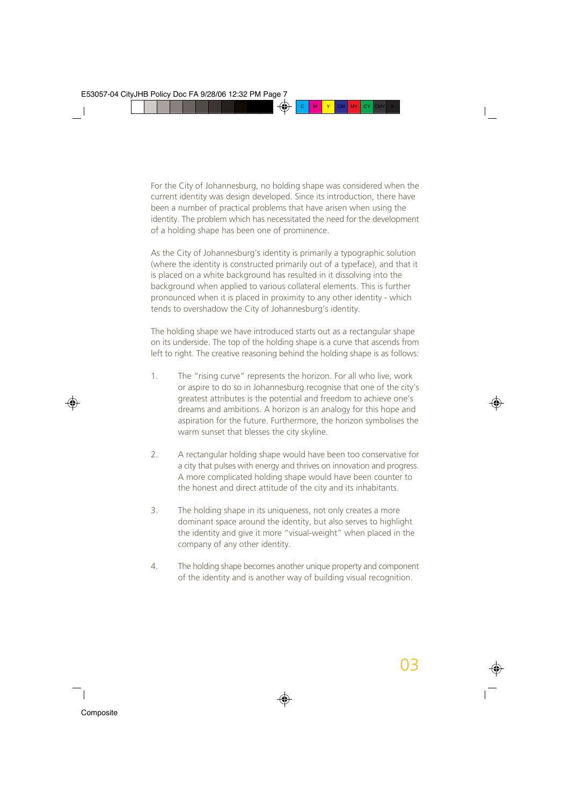

For the City of Johannesburg, no holding shape was considered when the current identity was design developed. Since its introduction, there have been a number of practical problems that have arisen when using the identity. The problem which has necessitated the need for the development of a holding shape has been one of prominence.

◈

C M Y CM MY CY CMY K

L

As the City of Johannesburg's identity is primarily a typographic solution (where the identity is constructed primarily out of a typeface), and that it is placed on a white background has resulted in it dissolving into the background when applied to various collateral elements. This is further pronounced when it is placed in proximity to any other identity - which tends to overshadow the City of Johannesburg's identity.

The holding shape we have introduced starts out as a rectangular shape on its underside. The top of the holding shape is a curve that ascends from left to right. The creative reasoning behind the holding shape is as follows:

- 1. The "rising curve" represents the horizon. For all who live, work or aspire to do so in Johannesburg recognise that one of the city's greatest attributes is the potential and freedom to achieve one's dreams and ambitions. A horizon is an analogy for this hope and aspiration for the future. Furthermore, the horizon symbolises the warm sunset that blesses the city skyline.
- 2. A rectangular holding shape would have been too conservative for a city that pulses with energy and thrives on innovation and progress. A more complicated holding shape would have been counter to the honest and direct attitude of the city and its inhabitants.
- 3. The holding shape in its uniqueness, not only creates a more dominant space around the identity, but also serves to highlight the identity and give it more "visual-weight" when placed in the company of any other identity.
- 4. The holding shape becomes another unique property and component of the identity and is another way of building visual recognition.

◈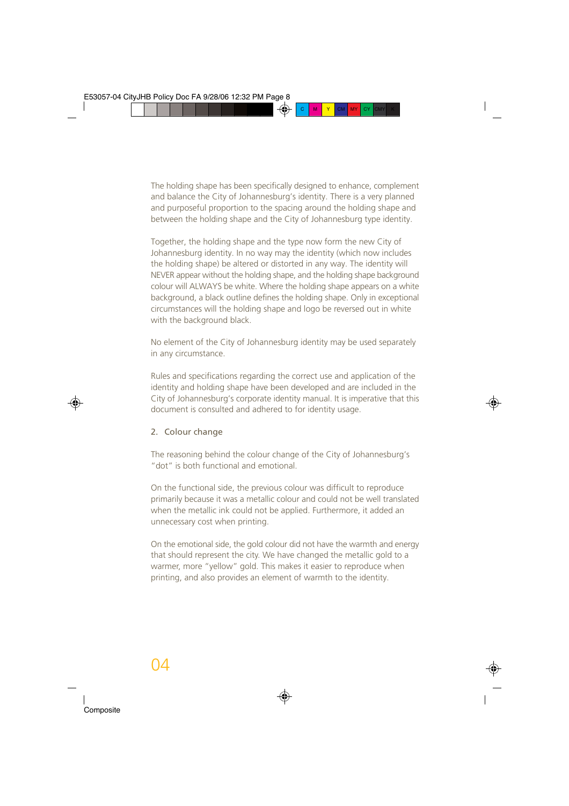The holding shape has been specifically designed to enhance, complement and balance the City of Johannesburg's identity. There is a very planned and purposeful proportion to the spacing around the holding shape and between the holding shape and the City of Johannesburg type identity.

⊕

C M Y CM MY CY CMY K

 $\overline{\phantom{a}}$ 

Together, the holding shape and the type now form the new City of Johannesburg identity. In no way may the identity (which now includes the holding shape) be altered or distorted in any way. The identity will NEVER appear without the holding shape, and the holding shape background colour will ALWAYS be white. Where the holding shape appears on a white background, a black outline defines the holding shape. Only in exceptional circumstances will the holding shape and logo be reversed out in white with the background black.

No element of the City of Johannesburg identity may be used separately in any circumstance.

Rules and specifications regarding the correct use and application of the identity and holding shape have been developed and are included in the City of Johannesburg's corporate identity manual. It is imperative that this document is consulted and adhered to for identity usage.

#### 2. Colour change

The reasoning behind the colour change of the City of Johannesburg's "dot" is both functional and emotional.

On the functional side, the previous colour was difficult to reproduce primarily because it was a metallic colour and could not be well translated when the metallic ink could not be applied. Furthermore, it added an unnecessary cost when printing.

On the emotional side, the gold colour did not have the warmth and energy that should represent the city. We have changed the metallic gold to a warmer, more "yellow" gold. This makes it easier to reproduce when printing, and also provides an element of warmth to the identity.

 $\Omega$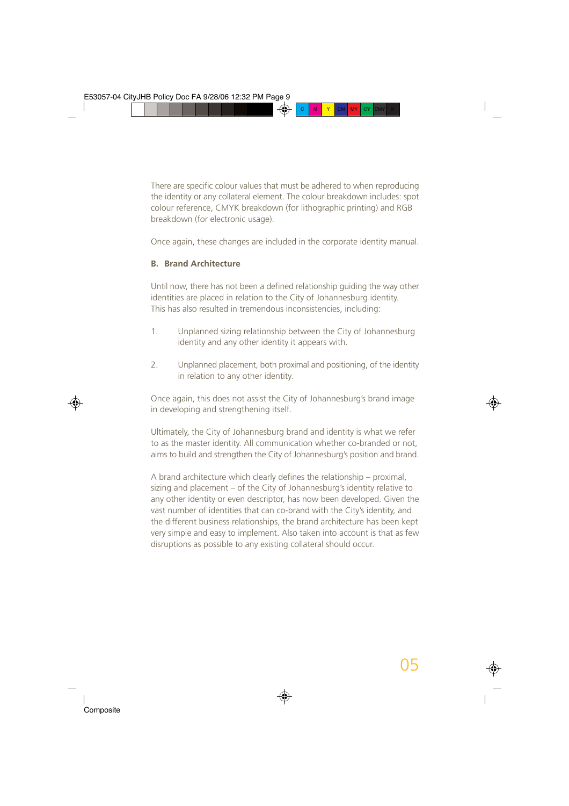There are specific colour values that must be adhered to when reproducing the identity or any collateral element. The colour breakdown includes: spot colour reference, CMYK breakdown (for lithographic printing) and RGB breakdown (for electronic usage).

 $\bigoplus$ 

C M Y CM MY CY CMY K

 $\overline{\phantom{a}}$ 

Once again, these changes are included in the corporate identity manual.

#### **B. Brand Architecture**

Until now, there has not been a defined relationship guiding the way other identities are placed in relation to the City of Johannesburg identity. This has also resulted in tremendous inconsistencies, including:

- 1. Unplanned sizing relationship between the City of Johannesburg identity and any other identity it appears with.
- 2. Unplanned placement, both proximal and positioning, of the identity in relation to any other identity.

Once again, this does not assist the City of Johannesburg's brand image in developing and strengthening itself.

Ultimately, the City of Johannesburg brand and identity is what we refer to as the master identity. All communication whether co-branded or not, aims to build and strengthen the City of Johannesburg's position and brand.

A brand architecture which clearly defines the relationship – proximal, sizing and placement – of the City of Johannesburg's identity relative to any other identity or even descriptor, has now been developed. Given the vast number of identities that can co-brand with the City's identity, and the different business relationships, the brand architecture has been kept very simple and easy to implement. Also taken into account is that as few disruptions as possible to any existing collateral should occur.

05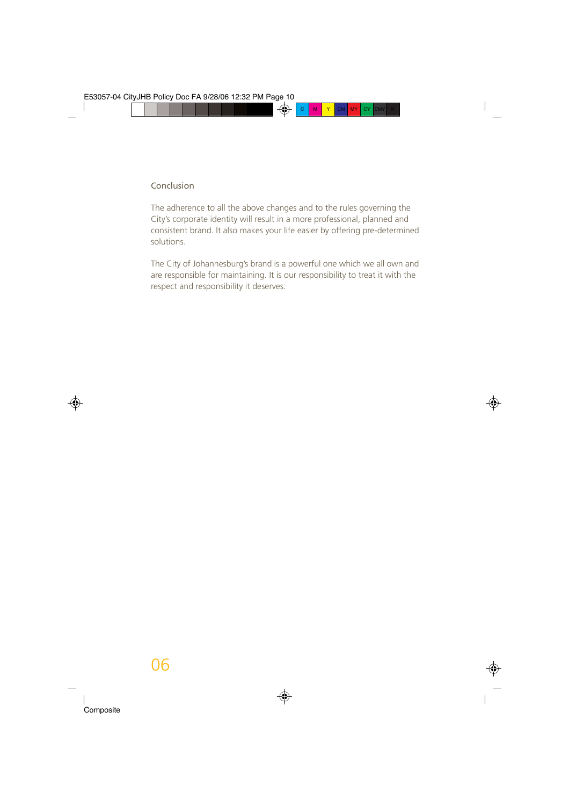

 $\overline{\phantom{a}}$ 

⊕

 $\mathbf{I}$ 

## Conclusion

The adherence to all the above changes and to the rules governing the City's corporate identity will result in a more professional, planned and consistent brand. It also makes your life easier by offering pre-determined solutions.

The City of Johannesburg's brand is a powerful one which we all own and are responsible for maintaining. It is our responsibility to treat it with the respect and responsibility it deserves.

◈



◈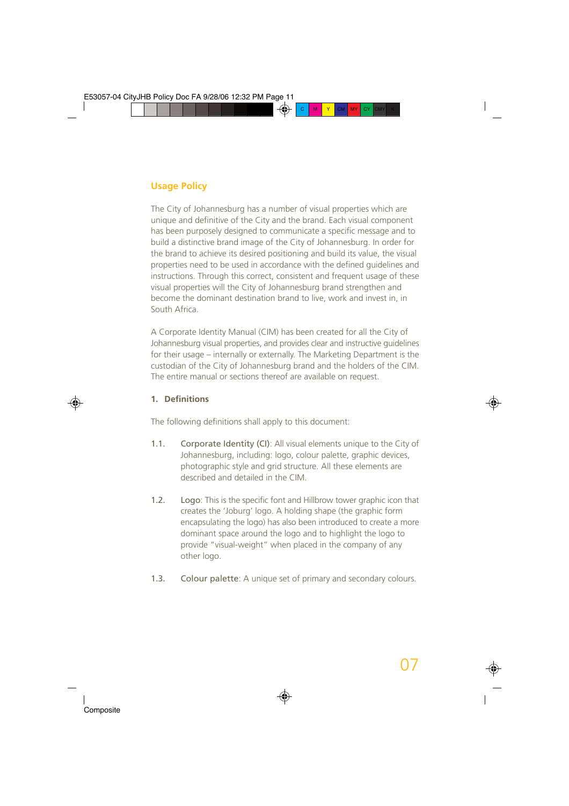#### **Usage Policy**

The City of Johannesburg has a number of visual properties which are unique and definitive of the City and the brand. Each visual component has been purposely designed to communicate a specific message and to build a distinctive brand image of the City of Johannesburg. In order for the brand to achieve its desired positioning and build its value, the visual properties need to be used in accordance with the defined guidelines and instructions. Through this correct, consistent and frequent usage of these visual properties will the City of Johannesburg brand strengthen and become the dominant destination brand to live, work and invest in, in South Africa.

⊕

C M Y CM MY CY CMY K

 $\overline{1}$ 

A Corporate Identity Manual (CIM) has been created for all the City of Johannesburg visual properties, and provides clear and instructive guidelines for their usage – internally or externally. The Marketing Department is the custodian of the City of Johannesburg brand and the holders of the CIM. The entire manual or sections thereof are available on request.



## **1. Definitions**

The following definitions shall apply to this document:

- 1.1. Corporate Identity (CI): All visual elements unique to the City of Johannesburg, including: logo, colour palette, graphic devices, photographic style and grid structure. All these elements are described and detailed in the CIM.
- 1.2. Logo: This is the specific font and Hillbrow tower graphic icon that creates the 'Joburg' logo. A holding shape (the graphic form encapsulating the logo) has also been introduced to create a more dominant space around the logo and to highlight the logo to provide "visual-weight" when placed in the company of any other logo.
- 1.3. Colour palette: A unique set of primary and secondary colours.

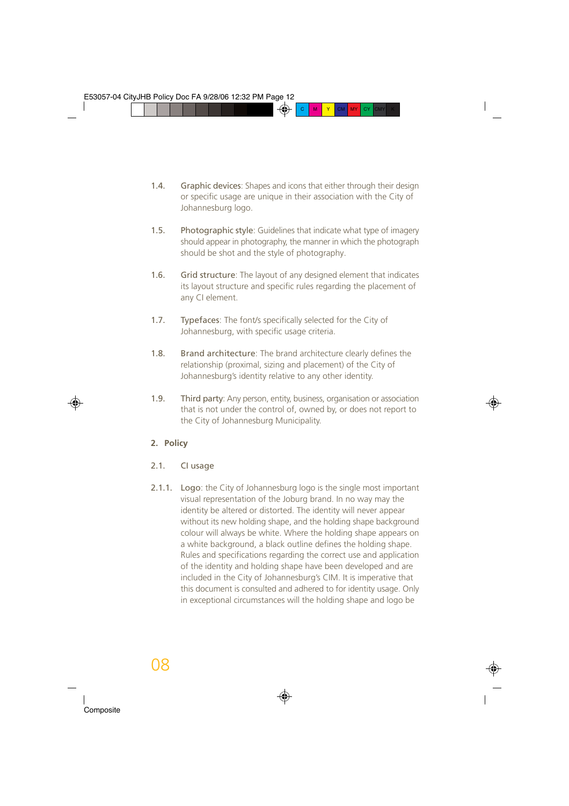

1.4. Graphic devices: Shapes and icons that either through their design or specific usage are unique in their association with the City of Johannesburg logo.

 $\overline{\phantom{a}}$ 

- 1.5. Photographic style: Guidelines that indicate what type of imagery should appear in photography, the manner in which the photograph should be shot and the style of photography.
- 1.6. Grid structure: The layout of any designed element that indicates its layout structure and specific rules regarding the placement of any CI element.
- 1.7. Typefaces: The font/s specifically selected for the City of Johannesburg, with specific usage criteria.
- 1.8. Brand architecture: The brand architecture clearly defines the relationship (proximal, sizing and placement) of the City of Johannesburg's identity relative to any other identity.
- 1.9. Third party: Any person, entity, business, organisation or association that is not under the control of, owned by, or does not report to the City of Johannesburg Municipality.

#### **2. Policy**

- 2.1. CI usage
- 2.1.1. Logo: the City of Johannesburg logo is the single most important visual representation of the Joburg brand. In no way may the identity be altered or distorted. The identity will never appear without its new holding shape, and the holding shape background colour will always be white. Where the holding shape appears on a white background, a black outline defines the holding shape. Rules and specifications regarding the correct use and application of the identity and holding shape have been developed and are included in the City of Johannesburg's CIM. It is imperative that this document is consulted and adhered to for identity usage. Only in exceptional circumstances will the holding shape and logo be

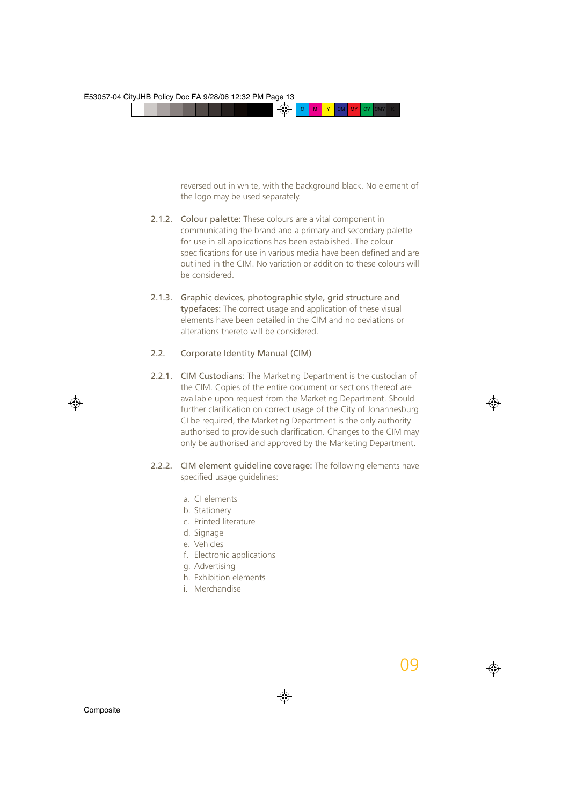

reversed out in white, with the background black. No element of the logo may be used separately.

C M Y CM MY CY CMY K

 $\overline{1}$ 

2.1.2. Colour palette: These colours are a vital component in communicating the brand and a primary and secondary palette for use in all applications has been established. The colour specifications for use in various media have been defined and are outlined in the CIM. No variation or addition to these colours will be considered.

 $\bigoplus$ 

2.1.3. Graphic devices, photographic style, grid structure and typefaces: The correct usage and application of these visual elements have been detailed in the CIM and no deviations or alterations thereto will be considered.

## 2.2. Corporate Identity Manual (CIM)

- 2.2.1. CIM Custodians: The Marketing Department is the custodian of the CIM. Copies of the entire document or sections thereof are available upon request from the Marketing Department. Should further clarification on correct usage of the City of Johannesburg CI be required, the Marketing Department is the only authority authorised to provide such clarification. Changes to the CIM may only be authorised and approved by the Marketing Department.
- 2.2.2. CIM element guideline coverage: The following elements have specified usage guidelines:

09

- a. CI elements
- b. Stationery
- c. Printed literature
- d. Signage
- e. Vehicles
- f. Electronic applications
- g. Advertising
- h. Exhibition elements
- i. Merchandise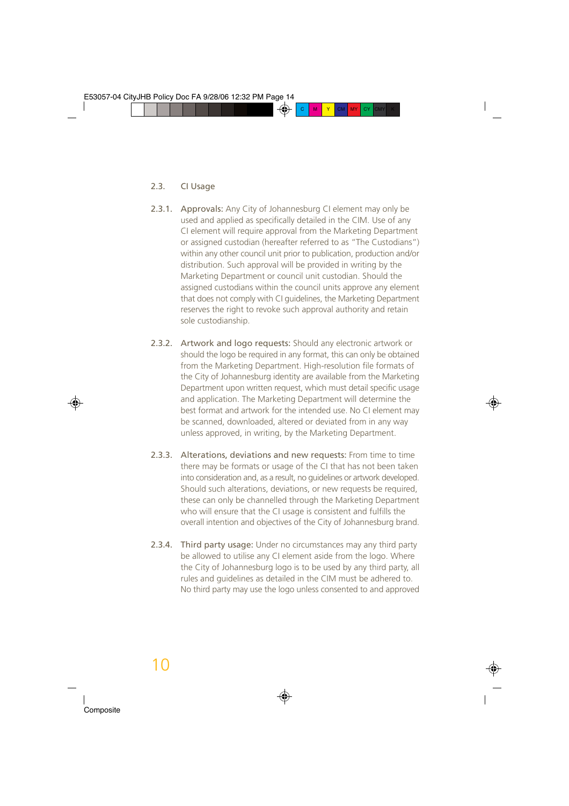### 2.3. CI Usage

2.3.1. Approvals: Any City of Johannesburg CI element may only be used and applied as specifically detailed in the CIM. Use of any CI element will require approval from the Marketing Department or assigned custodian (hereafter referred to as "The Custodians") within any other council unit prior to publication, production and/or distribution. Such approval will be provided in writing by the Marketing Department or council unit custodian. Should the assigned custodians within the council units approve any element that does not comply with CI guidelines, the Marketing Department reserves the right to revoke such approval authority and retain sole custodianship.

 $\bigoplus$ 

C M Y CM MY CY CMY K

 $\overline{1}$ 

- 2.3.2. Artwork and logo requests: Should any electronic artwork or should the logo be required in any format, this can only be obtained from the Marketing Department. High-resolution file formats of the City of Johannesburg identity are available from the Marketing Department upon written request, which must detail specific usage and application. The Marketing Department will determine the best format and artwork for the intended use. No CI element may be scanned, downloaded, altered or deviated from in any way unless approved, in writing, by the Marketing Department.
- 2.3.3. Alterations, deviations and new requests: From time to time there may be formats or usage of the CI that has not been taken into consideration and, as a result, no guidelines or artwork developed. Should such alterations, deviations, or new requests be required, these can only be channelled through the Marketing Department who will ensure that the CI usage is consistent and fulfills the overall intention and objectives of the City of Johannesburg brand.
- 2.3.4. Third party usage: Under no circumstances may any third party be allowed to utilise any CI element aside from the logo. Where the City of Johannesburg logo is to be used by any third party, all rules and guidelines as detailed in the CIM must be adhered to. No third party may use the logo unless consented to and approved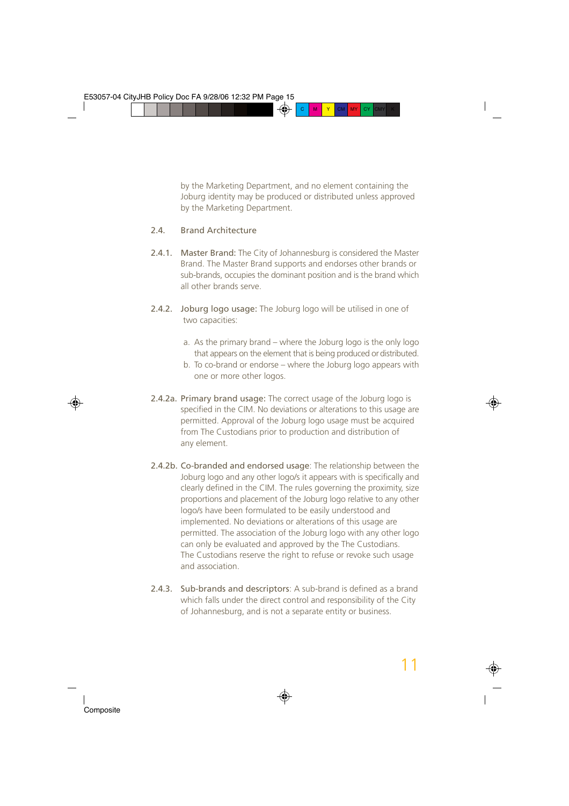by the Marketing Department, and no element containing the Joburg identity may be produced or distributed unless approved by the Marketing Department.

 $\bigoplus$ 

C M Y CM MY CY CMY K

 $\overline{\phantom{a}}$ 

#### 2.4. Brand Architecture

- 2.4.1. Master Brand: The City of Johannesburg is considered the Master Brand. The Master Brand supports and endorses other brands or sub-brands, occupies the dominant position and is the brand which all other brands serve.
- 2.4.2. Joburg logo usage: The Joburg logo will be utilised in one of two capacities:
	- a. As the primary brand where the Joburg logo is the only logo that appears on the element that is being produced or distributed.
	- b. To co-brand or endorse where the Joburg logo appears with one or more other logos.
- 2.4.2a. Primary brand usage: The correct usage of the Joburg logo is specified in the CIM. No deviations or alterations to this usage are permitted. Approval of the Joburg logo usage must be acquired from The Custodians prior to production and distribution of any element.
- 2.4.2b. Co-branded and endorsed usage: The relationship between the Joburg logo and any other logo/s it appears with is specifically and clearly defined in the CIM. The rules governing the proximity, size proportions and placement of the Joburg logo relative to any other logo/s have been formulated to be easily understood and implemented. No deviations or alterations of this usage are permitted. The association of the Joburg logo with any other logo can only be evaluated and approved by the The Custodians. The Custodians reserve the right to refuse or revoke such usage and association.
- 2.4.3. Sub-brands and descriptors: A sub-brand is defined as a brand which falls under the direct control and responsibility of the City of Johannesburg, and is not a separate entity or business.